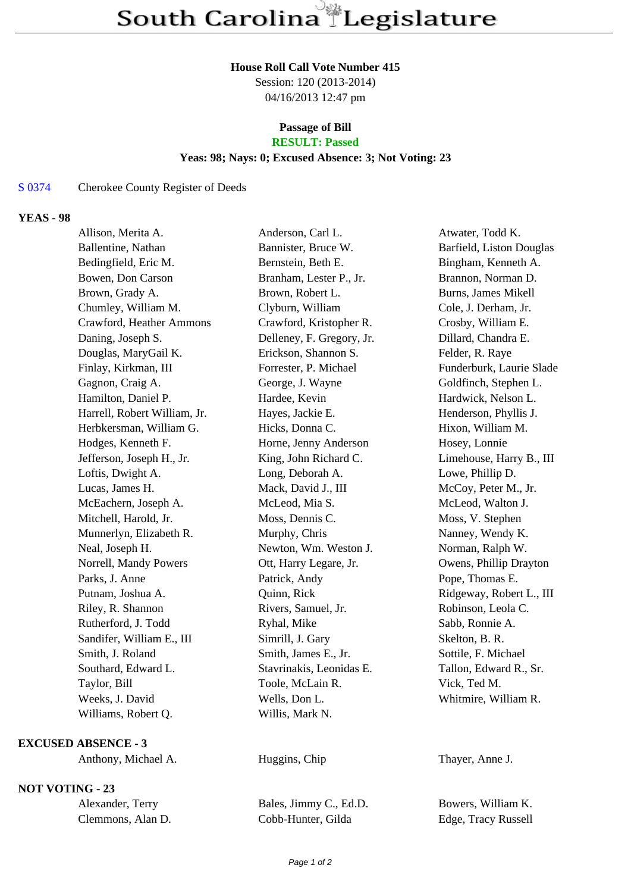#### **House Roll Call Vote Number 415**

Session: 120 (2013-2014) 04/16/2013 12:47 pm

# **Passage of Bill**

# **RESULT: Passed**

### **Yeas: 98; Nays: 0; Excused Absence: 3; Not Voting: 23**

### S 0374 Cherokee County Register of Deeds

### **YEAS - 98**

| Allison, Merita A.           | Anderson, Carl L.         | Atwater, Todd K.         |
|------------------------------|---------------------------|--------------------------|
| Ballentine, Nathan           | Bannister, Bruce W.       | Barfield, Liston Douglas |
| Bedingfield, Eric M.         | Bernstein, Beth E.        | Bingham, Kenneth A.      |
| Bowen, Don Carson            | Branham, Lester P., Jr.   | Brannon, Norman D.       |
| Brown, Grady A.              | Brown, Robert L.          | Burns, James Mikell      |
| Chumley, William M.          | Clyburn, William          | Cole, J. Derham, Jr.     |
| Crawford, Heather Ammons     | Crawford, Kristopher R.   | Crosby, William E.       |
| Daning, Joseph S.            | Delleney, F. Gregory, Jr. | Dillard, Chandra E.      |
| Douglas, MaryGail K.         | Erickson, Shannon S.      | Felder, R. Raye          |
| Finlay, Kirkman, III         | Forrester, P. Michael     | Funderburk, Laurie Slade |
| Gagnon, Craig A.             | George, J. Wayne          | Goldfinch, Stephen L.    |
| Hamilton, Daniel P.          | Hardee, Kevin             | Hardwick, Nelson L.      |
| Harrell, Robert William, Jr. | Hayes, Jackie E.          | Henderson, Phyllis J.    |
| Herbkersman, William G.      | Hicks, Donna C.           | Hixon, William M.        |
| Hodges, Kenneth F.           | Horne, Jenny Anderson     | Hosey, Lonnie            |
| Jefferson, Joseph H., Jr.    | King, John Richard C.     | Limehouse, Harry B., III |
| Loftis, Dwight A.            | Long, Deborah A.          | Lowe, Phillip D.         |
| Lucas, James H.              | Mack, David J., III       | McCoy, Peter M., Jr.     |
| McEachern, Joseph A.         | McLeod, Mia S.            | McLeod, Walton J.        |
| Mitchell, Harold, Jr.        | Moss, Dennis C.           | Moss, V. Stephen         |
| Munnerlyn, Elizabeth R.      | Murphy, Chris             | Nanney, Wendy K.         |
| Neal, Joseph H.              | Newton, Wm. Weston J.     | Norman, Ralph W.         |
| Norrell, Mandy Powers        | Ott, Harry Legare, Jr.    | Owens, Phillip Drayton   |
| Parks, J. Anne               | Patrick, Andy             | Pope, Thomas E.          |
| Putnam, Joshua A.            | Quinn, Rick               | Ridgeway, Robert L., III |
| Riley, R. Shannon            | Rivers, Samuel, Jr.       | Robinson, Leola C.       |
| Rutherford, J. Todd          | Ryhal, Mike               | Sabb, Ronnie A.          |
| Sandifer, William E., III    | Simrill, J. Gary          | Skelton, B. R.           |
| Smith, J. Roland             | Smith, James E., Jr.      | Sottile, F. Michael      |
| Southard, Edward L.          | Stavrinakis, Leonidas E.  | Tallon, Edward R., Sr.   |
| Taylor, Bill                 | Toole, McLain R.          | Vick, Ted M.             |
| Weeks, J. David              | Wells, Don L.             | Whitmire, William R.     |
| Williams, Robert Q.          | Willis, Mark N.           |                          |
|                              |                           |                          |

#### **EXCUSED ABSENCE - 3**

Anthony, Michael A. **Huggins, Chip** Thayer, Anne J.

## **NOT VOTING - 23**

| Alexander, Terry  |  |
|-------------------|--|
| Clemmons, Alan D. |  |

Bales, Jimmy C., Ed.D. Bowers, William K. Cobb-Hunter, Gilda Edge, Tracy Russell